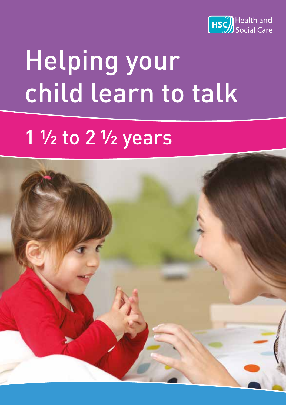

# Helping your child learn to talk

## 1  $\frac{1}{2}$  to 2  $\frac{1}{2}$  years

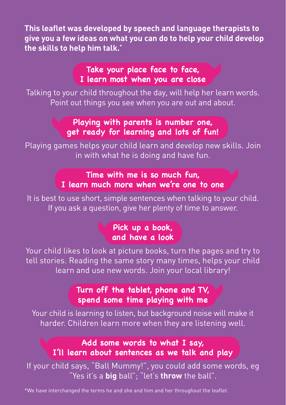**This leaflet was developed by speech and language therapists to give you a few ideas on what you can do to help your child develop the skills to help him talk.\***

#### **Take your place face to face, I learn most when you are close**

Talking to your child throughout the day, will help her learn words. Point out things you see when you are out and about.

#### **Playing with parents is number one, get ready for learning and lots of fun!**

Playing games helps your child learn and develop new skills. Join in with what he is doing and have fun.

#### **Time with me is so much fun, I learn much more when we're one to one**

It is best to use short, simple sentences when talking to your child. If you ask a question, give her plenty of time to answer.

#### **Pick up a book, and have a look**

Your child likes to look at picture books, turn the pages and try to tell stories. Reading the same story many times, helps your child learn and use new words. Join your local library!

#### **Turn off the tablet, phone and TV, spend some time playing with me**

Your child is learning to listen, but background noise will make it harder. Children learn more when they are listening well.

### **Add some words to what I say, I'll learn about sentences as we talk and play**

If your child says, "Ball Mummy!", you could add some words, eg "Yes it's a **big** ball"; "let's **throw** the ball".

\*We have interchanged the terms he and she and him and her throughout the leaflet.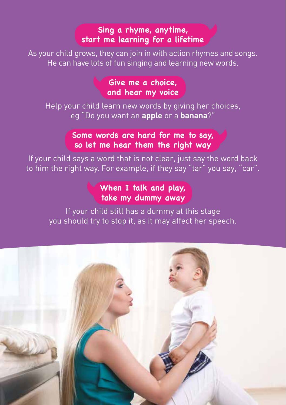#### **Sing a rhyme, anytime, start me learning for a lifetime**

As your child grows, they can join in with action rhymes and songs. He can have lots of fun singing and learning new words.

#### **Give me a choice, and hear my voice**

Help your child learn new words by giving her choices, eg "Do you want an **apple** or a **banana**?"

#### **Some words are hard for me to say, so let me hear them the right way**

If your child says a word that is not clear, just say the word back to him the right way. For example, if they say "tar" you say, "car".

#### **When I talk and play, take my dummy away**

If your child still has a dummy at this stage you should try to stop it, as it may affect her speech.